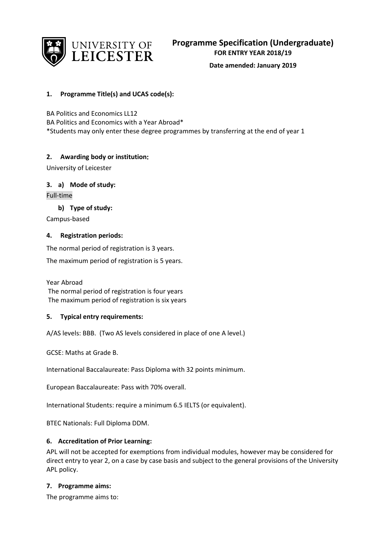

## **Date amended: January 2019**

# **1. Programme Title(s) and UCAS code(s):**

BA Politics and Economics LL12

BA Politics and Economics with a Year Abroad\* \*Students may only enter these degree programmes by transferring at the end of year 1

## **2. Awarding body or institution:**

University of Leicester

## **3. a) Mode of study:**

Full-time

**b) Type of study:**

Campus-based

## **4. Registration periods:**

The normal period of registration is 3 years.

The maximum period of registration is 5 years.

Year Abroad The normal period of registration is four years The maximum period of registration is six years

## **5. Typical entry requirements:**

A/AS levels: BBB. (Two AS levels considered in place of one A level.)

GCSE: Maths at Grade B.

International Baccalaureate: Pass Diploma with 32 points minimum.

European Baccalaureate: Pass with 70% overall.

International Students: require a minimum 6.5 IELTS (or equivalent).

BTEC Nationals: Full Diploma DDM.

## **6. Accreditation of Prior Learning:**

APL will not be accepted for exemptions from individual modules, however may be considered for direct entry to year 2, on a case by case basis and subject to the general provisions of the University APL policy.

## **7. Programme aims:**

The programme aims to: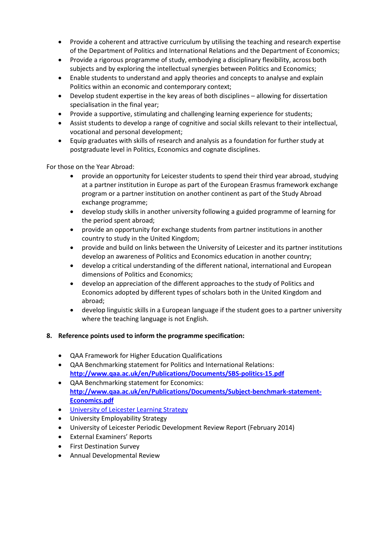- Provide a coherent and attractive curriculum by utilising the teaching and research expertise of the Department of Politics and International Relations and the Department of Economics;
- Provide a rigorous programme of study, embodying a disciplinary flexibility, across both subjects and by exploring the intellectual synergies between Politics and Economics;
- Enable students to understand and apply theories and concepts to analyse and explain Politics within an economic and contemporary context;
- Develop student expertise in the key areas of both disciplines allowing for dissertation specialisation in the final year;
- Provide a supportive, stimulating and challenging learning experience for students;
- Assist students to develop a range of cognitive and social skills relevant to their intellectual, vocational and personal development;
- Equip graduates with skills of research and analysis as a foundation for further study at postgraduate level in Politics, Economics and cognate disciplines.

For those on the Year Abroad:

- provide an opportunity for Leicester students to spend their third year abroad, studying at a partner institution in Europe as part of the European Erasmus framework exchange program or a partner institution on another continent as part of the Study Abroad exchange programme;
- develop study skills in another university following a guided programme of learning for the period spent abroad;
- provide an opportunity for exchange students from partner institutions in another country to study in the United Kingdom;
- provide and build on links between the University of Leicester and its partner institutions develop an awareness of Politics and Economics education in another country;
- develop a critical understanding of the different national, international and European dimensions of Politics and Economics;
- develop an appreciation of the different approaches to the study of Politics and Economics adopted by different types of scholars both in the United Kingdom and abroad;
- develop linguistic skills in a European language if the student goes to a partner university where the teaching language is not English.

## **8. Reference points used to inform the programme specification:**

- QAA Framework for Higher Education Qualifications
- QAA Benchmarking statement for Politics and International Relations: **<http://www.qaa.ac.uk/en/Publications/Documents/SBS-politics-15.pdf>**
- QAA Benchmarking statement for Economics: **[http://www.qaa.ac.uk/en/Publications/Documents/Subject-benchmark-statement-](http://www.qaa.ac.uk/en/Publications/Documents/Subject-benchmark-statement-Economics.pdf)[Economics.pdf](http://www.qaa.ac.uk/en/Publications/Documents/Subject-benchmark-statement-Economics.pdf)**
- [University of Leicester Learning Strategy](http://www2.le.ac.uk/offices/sas2/quality/learnteach?searchterm=learning%20and%20teaching%20strategy)
- University Employability Strategy
- University of Leicester Periodic Development Review Report (February 2014)
- External Examiners' Reports
- First Destination Survey
- Annual Developmental Review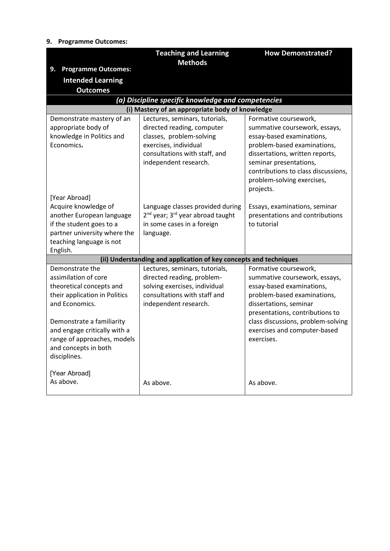# **9. Programme Outcomes:**

|                                                                                                                                                                                                                                                                             | <b>Teaching and Learning</b>                                                                                                                                                | <b>How Demonstrated?</b>                                                                                                                                                                                                                                            |
|-----------------------------------------------------------------------------------------------------------------------------------------------------------------------------------------------------------------------------------------------------------------------------|-----------------------------------------------------------------------------------------------------------------------------------------------------------------------------|---------------------------------------------------------------------------------------------------------------------------------------------------------------------------------------------------------------------------------------------------------------------|
| <b>Programme Outcomes:</b><br>9.                                                                                                                                                                                                                                            | <b>Methods</b>                                                                                                                                                              |                                                                                                                                                                                                                                                                     |
| <b>Intended Learning</b>                                                                                                                                                                                                                                                    |                                                                                                                                                                             |                                                                                                                                                                                                                                                                     |
| <b>Outcomes</b>                                                                                                                                                                                                                                                             |                                                                                                                                                                             |                                                                                                                                                                                                                                                                     |
|                                                                                                                                                                                                                                                                             | (a) Discipline specific knowledge and competencies                                                                                                                          |                                                                                                                                                                                                                                                                     |
|                                                                                                                                                                                                                                                                             | (i) Mastery of an appropriate body of knowledge                                                                                                                             |                                                                                                                                                                                                                                                                     |
| Demonstrate mastery of an<br>appropriate body of<br>knowledge in Politics and<br>Economics.                                                                                                                                                                                 | Lectures, seminars, tutorials,<br>directed reading, computer<br>classes, problem-solving<br>exercises, individual<br>consultations with staff, and<br>independent research. | Formative coursework,<br>summative coursework, essays,<br>essay-based examinations,<br>problem-based examinations,<br>dissertations, written reports,<br>seminar presentations,<br>contributions to class discussions,<br>problem-solving exercises,<br>projects.   |
| [Year Abroad]<br>Acquire knowledge of<br>another European language<br>if the student goes to a<br>partner university where the<br>teaching language is not<br>English.                                                                                                      | Language classes provided during<br>2 <sup>nd</sup> year; 3 <sup>rd</sup> year abroad taught<br>in some cases in a foreign<br>language.                                     | Essays, examinations, seminar<br>presentations and contributions<br>to tutorial                                                                                                                                                                                     |
|                                                                                                                                                                                                                                                                             | (ii) Understanding and application of key concepts and techniques                                                                                                           |                                                                                                                                                                                                                                                                     |
| Demonstrate the<br>assimilation of core<br>theoretical concepts and<br>their application in Politics<br>and Economics.<br>Demonstrate a familiarity<br>and engage critically with a<br>range of approaches, models<br>and concepts in both<br>disciplines.<br>[Year Abroad] | Lectures, seminars, tutorials,<br>directed reading, problem-<br>solving exercises, individual<br>consultations with staff and<br>independent research.                      | Formative coursework,<br>summative coursework, essays,<br>essay-based examinations,<br>problem-based examinations,<br>dissertations, seminar<br>presentations, contributions to<br>class discussions, problem-solving<br>exercises and computer-based<br>exercises. |
| As above.                                                                                                                                                                                                                                                                   | As above.                                                                                                                                                                   | As above.                                                                                                                                                                                                                                                           |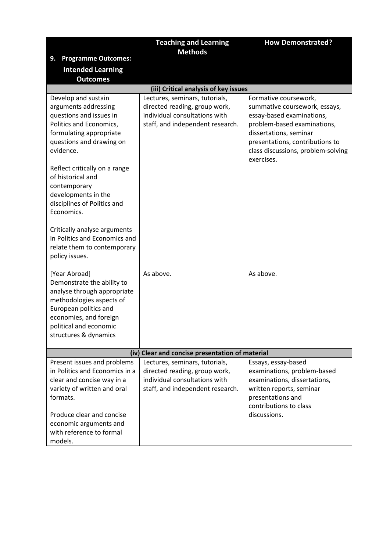|                                                                                                                                                                                                                                      | <b>Teaching and Learning</b><br><b>Methods</b>                                                                                       | <b>How Demonstrated?</b>                                                                                                                                                                                                            |
|--------------------------------------------------------------------------------------------------------------------------------------------------------------------------------------------------------------------------------------|--------------------------------------------------------------------------------------------------------------------------------------|-------------------------------------------------------------------------------------------------------------------------------------------------------------------------------------------------------------------------------------|
| <b>Programme Outcomes:</b><br>9.                                                                                                                                                                                                     |                                                                                                                                      |                                                                                                                                                                                                                                     |
| <b>Intended Learning</b>                                                                                                                                                                                                             |                                                                                                                                      |                                                                                                                                                                                                                                     |
| <b>Outcomes</b>                                                                                                                                                                                                                      |                                                                                                                                      |                                                                                                                                                                                                                                     |
|                                                                                                                                                                                                                                      | (iii) Critical analysis of key issues                                                                                                |                                                                                                                                                                                                                                     |
| Develop and sustain<br>arguments addressing<br>questions and issues in<br>Politics and Economics,<br>formulating appropriate<br>questions and drawing on<br>evidence.                                                                | Lectures, seminars, tutorials,<br>directed reading, group work,<br>individual consultations with<br>staff, and independent research. | Formative coursework,<br>summative coursework, essays,<br>essay-based examinations,<br>problem-based examinations,<br>dissertations, seminar<br>presentations, contributions to<br>class discussions, problem-solving<br>exercises. |
| Reflect critically on a range<br>of historical and<br>contemporary<br>developments in the<br>disciplines of Politics and<br>Economics.                                                                                               |                                                                                                                                      |                                                                                                                                                                                                                                     |
| Critically analyse arguments<br>in Politics and Economics and<br>relate them to contemporary<br>policy issues.                                                                                                                       |                                                                                                                                      |                                                                                                                                                                                                                                     |
| [Year Abroad]<br>Demonstrate the ability to<br>analyse through appropriate<br>methodologies aspects of<br>European politics and<br>economies, and foreign<br>political and economic<br>structures & dynamics                         | As above.                                                                                                                            | As above.                                                                                                                                                                                                                           |
|                                                                                                                                                                                                                                      | (iv) Clear and concise presentation of material                                                                                      |                                                                                                                                                                                                                                     |
| Present issues and problems<br>in Politics and Economics in a<br>clear and concise way in a<br>variety of written and oral<br>formats.<br>Produce clear and concise<br>economic arguments and<br>with reference to formal<br>models. | Lectures, seminars, tutorials,<br>directed reading, group work,<br>individual consultations with<br>staff, and independent research. | Essays, essay-based<br>examinations, problem-based<br>examinations, dissertations,<br>written reports, seminar<br>presentations and<br>contributions to class<br>discussions.                                                       |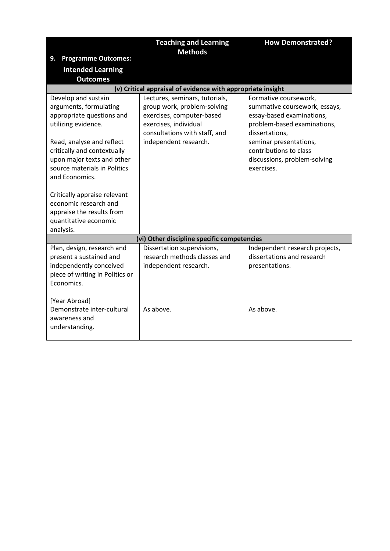|                                                                                                                                          |                                                                                                                                                      | <b>How Demonstrated?</b>                                                                                                             |
|------------------------------------------------------------------------------------------------------------------------------------------|------------------------------------------------------------------------------------------------------------------------------------------------------|--------------------------------------------------------------------------------------------------------------------------------------|
|                                                                                                                                          | <b>Teaching and Learning</b><br><b>Methods</b>                                                                                                       |                                                                                                                                      |
| <b>Programme Outcomes:</b><br>9.                                                                                                         |                                                                                                                                                      |                                                                                                                                      |
| <b>Intended Learning</b>                                                                                                                 |                                                                                                                                                      |                                                                                                                                      |
| <b>Outcomes</b>                                                                                                                          |                                                                                                                                                      |                                                                                                                                      |
|                                                                                                                                          | (v) Critical appraisal of evidence with appropriate insight                                                                                          |                                                                                                                                      |
| Develop and sustain<br>arguments, formulating<br>appropriate questions and<br>utilizing evidence.                                        | Lectures, seminars, tutorials,<br>group work, problem-solving<br>exercises, computer-based<br>exercises, individual<br>consultations with staff, and | Formative coursework,<br>summative coursework, essays,<br>essay-based examinations,<br>problem-based examinations,<br>dissertations, |
| Read, analyse and reflect<br>critically and contextually<br>upon major texts and other<br>source materials in Politics<br>and Economics. | independent research.                                                                                                                                | seminar presentations,<br>contributions to class<br>discussions, problem-solving<br>exercises.                                       |
| Critically appraise relevant<br>economic research and<br>appraise the results from<br>quantitative economic<br>analysis.                 |                                                                                                                                                      |                                                                                                                                      |
|                                                                                                                                          | (vi) Other discipline specific competencies                                                                                                          |                                                                                                                                      |
| Plan, design, research and<br>present a sustained and<br>independently conceived<br>piece of writing in Politics or<br>Economics.        | Dissertation supervisions,<br>research methods classes and<br>independent research.                                                                  | Independent research projects,<br>dissertations and research<br>presentations.                                                       |
| [Year Abroad]<br>Demonstrate inter-cultural<br>awareness and<br>understanding.                                                           | As above.                                                                                                                                            | As above.                                                                                                                            |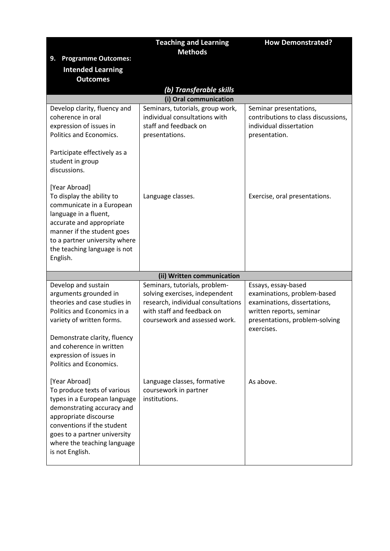|                                                                                                                                                                                                                                                            | <b>Teaching and Learning</b>                                                                                                                                         | <b>How Demonstrated?</b>                                                                                                                                       |
|------------------------------------------------------------------------------------------------------------------------------------------------------------------------------------------------------------------------------------------------------------|----------------------------------------------------------------------------------------------------------------------------------------------------------------------|----------------------------------------------------------------------------------------------------------------------------------------------------------------|
| <b>Programme Outcomes:</b><br>9.                                                                                                                                                                                                                           | <b>Methods</b>                                                                                                                                                       |                                                                                                                                                                |
| <b>Intended Learning</b>                                                                                                                                                                                                                                   |                                                                                                                                                                      |                                                                                                                                                                |
| <b>Outcomes</b>                                                                                                                                                                                                                                            |                                                                                                                                                                      |                                                                                                                                                                |
|                                                                                                                                                                                                                                                            | (b) Transferable skills                                                                                                                                              |                                                                                                                                                                |
|                                                                                                                                                                                                                                                            | (i) Oral communication                                                                                                                                               |                                                                                                                                                                |
| Develop clarity, fluency and<br>coherence in oral<br>expression of issues in<br>Politics and Economics.                                                                                                                                                    | Seminars, tutorials, group work,<br>individual consultations with<br>staff and feedback on<br>presentations.                                                         | Seminar presentations,<br>contributions to class discussions,<br>individual dissertation<br>presentation.                                                      |
| Participate effectively as a<br>student in group<br>discussions.                                                                                                                                                                                           |                                                                                                                                                                      |                                                                                                                                                                |
| [Year Abroad]<br>To display the ability to<br>communicate in a European<br>language in a fluent,<br>accurate and appropriate<br>manner if the student goes<br>to a partner university where<br>the teaching language is not<br>English.                    | Language classes.                                                                                                                                                    | Exercise, oral presentations.                                                                                                                                  |
|                                                                                                                                                                                                                                                            | (ii) Written communication                                                                                                                                           |                                                                                                                                                                |
| Develop and sustain<br>arguments grounded in<br>theories and case studies in<br>Politics and Economics in a<br>variety of written forms.<br>Demonstrate clarity, fluency<br>and coherence in written<br>expression of issues in<br>Politics and Economics. | Seminars, tutorials, problem-<br>solving exercises, independent<br>research, individual consultations<br>with staff and feedback on<br>coursework and assessed work. | Essays, essay-based<br>examinations, problem-based<br>examinations, dissertations,<br>written reports, seminar<br>presentations, problem-solving<br>exercises. |
| [Year Abroad]<br>To produce texts of various<br>types in a European language<br>demonstrating accuracy and<br>appropriate discourse<br>conventions if the student<br>goes to a partner university<br>where the teaching language<br>is not English.        | Language classes, formative<br>coursework in partner<br>institutions.                                                                                                | As above.                                                                                                                                                      |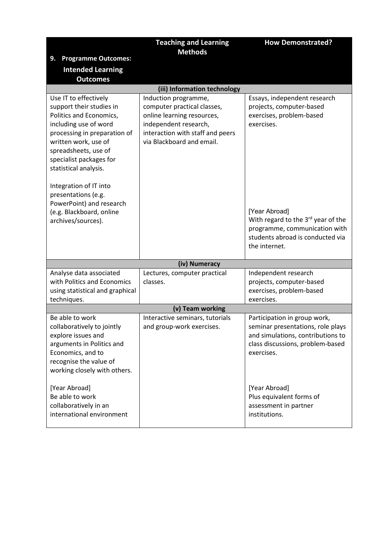|                                                                                                                                                                                                                                                                                                                                                                          | <b>Teaching and Learning</b><br><b>Methods</b>                                                                                                                              | <b>How Demonstrated?</b>                                                                                                                                                                                                                        |
|--------------------------------------------------------------------------------------------------------------------------------------------------------------------------------------------------------------------------------------------------------------------------------------------------------------------------------------------------------------------------|-----------------------------------------------------------------------------------------------------------------------------------------------------------------------------|-------------------------------------------------------------------------------------------------------------------------------------------------------------------------------------------------------------------------------------------------|
| <b>Programme Outcomes:</b><br>9.                                                                                                                                                                                                                                                                                                                                         |                                                                                                                                                                             |                                                                                                                                                                                                                                                 |
| <b>Intended Learning</b>                                                                                                                                                                                                                                                                                                                                                 |                                                                                                                                                                             |                                                                                                                                                                                                                                                 |
| <b>Outcomes</b>                                                                                                                                                                                                                                                                                                                                                          |                                                                                                                                                                             |                                                                                                                                                                                                                                                 |
|                                                                                                                                                                                                                                                                                                                                                                          | (iii) Information technology                                                                                                                                                |                                                                                                                                                                                                                                                 |
| Use IT to effectively<br>support their studies in<br>Politics and Economics,<br>including use of word<br>processing in preparation of<br>written work, use of<br>spreadsheets, use of<br>specialist packages for<br>statistical analysis.<br>Integration of IT into<br>presentations (e.g.<br>PowerPoint) and research<br>(e.g. Blackboard, online<br>archives/sources). | Induction programme,<br>computer practical classes,<br>online learning resources,<br>independent research,<br>interaction with staff and peers<br>via Blackboard and email. | Essays, independent research<br>projects, computer-based<br>exercises, problem-based<br>exercises.<br>[Year Abroad]<br>With regard to the 3rd year of the<br>programme, communication with<br>students abroad is conducted via<br>the internet. |
|                                                                                                                                                                                                                                                                                                                                                                          | (iv) Numeracy                                                                                                                                                               |                                                                                                                                                                                                                                                 |
| Analyse data associated<br>with Politics and Economics<br>using statistical and graphical                                                                                                                                                                                                                                                                                | Lectures, computer practical<br>classes.                                                                                                                                    | Independent research<br>projects, computer-based<br>exercises, problem-based                                                                                                                                                                    |
| techniques.                                                                                                                                                                                                                                                                                                                                                              |                                                                                                                                                                             | exercises.                                                                                                                                                                                                                                      |
| Be able to work                                                                                                                                                                                                                                                                                                                                                          | (v) Team working                                                                                                                                                            |                                                                                                                                                                                                                                                 |
| collaboratively to jointly<br>explore issues and<br>arguments in Politics and<br>Economics, and to<br>recognise the value of<br>working closely with others.                                                                                                                                                                                                             | Interactive seminars, tutorials<br>and group-work exercises.                                                                                                                | Participation in group work,<br>seminar presentations, role plays<br>and simulations, contributions to<br>class discussions, problem-based<br>exercises.                                                                                        |
| [Year Abroad]<br>Be able to work<br>collaboratively in an<br>international environment                                                                                                                                                                                                                                                                                   |                                                                                                                                                                             | [Year Abroad]<br>Plus equivalent forms of<br>assessment in partner<br>institutions.                                                                                                                                                             |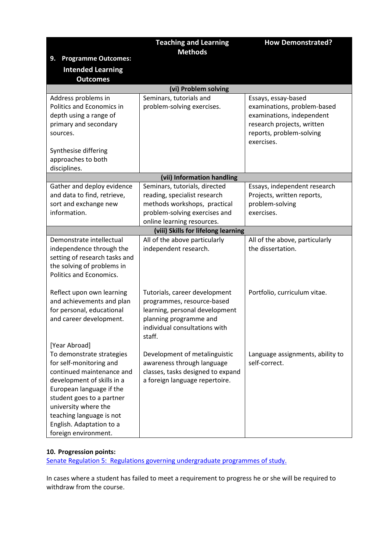|                                                                                                                                                                                                                                                                                                   | <b>Teaching and Learning</b><br><b>Methods</b>                                                                                                                     | <b>How Demonstrated?</b>                                                                                                                                |
|---------------------------------------------------------------------------------------------------------------------------------------------------------------------------------------------------------------------------------------------------------------------------------------------------|--------------------------------------------------------------------------------------------------------------------------------------------------------------------|---------------------------------------------------------------------------------------------------------------------------------------------------------|
| <b>Programme Outcomes:</b><br>9.                                                                                                                                                                                                                                                                  |                                                                                                                                                                    |                                                                                                                                                         |
| <b>Intended Learning</b>                                                                                                                                                                                                                                                                          |                                                                                                                                                                    |                                                                                                                                                         |
| <b>Outcomes</b>                                                                                                                                                                                                                                                                                   |                                                                                                                                                                    |                                                                                                                                                         |
|                                                                                                                                                                                                                                                                                                   | (vi) Problem solving                                                                                                                                               |                                                                                                                                                         |
| Address problems in<br>Politics and Economics in<br>depth using a range of<br>primary and secondary<br>sources.<br>Synthesise differing<br>approaches to both<br>disciplines.                                                                                                                     | Seminars, tutorials and<br>problem-solving exercises.                                                                                                              | Essays, essay-based<br>examinations, problem-based<br>examinations, independent<br>research projects, written<br>reports, problem-solving<br>exercises. |
|                                                                                                                                                                                                                                                                                                   | (vii) Information handling                                                                                                                                         |                                                                                                                                                         |
| Gather and deploy evidence<br>and data to find, retrieve,<br>sort and exchange new<br>information.                                                                                                                                                                                                | Seminars, tutorials, directed<br>reading, specialist research<br>methods workshops, practical<br>problem-solving exercises and<br>online learning resources.       | Essays, independent research<br>Projects, written reports,<br>problem-solving<br>exercises.                                                             |
|                                                                                                                                                                                                                                                                                                   | (viii) Skills for lifelong learning                                                                                                                                |                                                                                                                                                         |
| Demonstrate intellectual<br>independence through the<br>setting of research tasks and<br>the solving of problems in<br>Politics and Economics.                                                                                                                                                    | All of the above particularly<br>independent research.                                                                                                             | All of the above, particularly<br>the dissertation.                                                                                                     |
| Reflect upon own learning<br>and achievements and plan<br>for personal, educational<br>and career development.                                                                                                                                                                                    | Tutorials, career development<br>programmes, resource-based<br>learning, personal development<br>planning programme and<br>individual consultations with<br>staff. | Portfolio, curriculum vitae.                                                                                                                            |
| [Year Abroad]<br>To demonstrate strategies<br>for self-monitoring and<br>continued maintenance and<br>development of skills in a<br>European language if the<br>student goes to a partner<br>university where the<br>teaching language is not<br>English. Adaptation to a<br>foreign environment. | Development of metalinguistic<br>awareness through language<br>classes, tasks designed to expand<br>a foreign language repertoire.                                 | Language assignments, ability to<br>self-correct.                                                                                                       |

# **10. Progression points:**

[Senate Regulation 5: Regulations governing undergraduate programmes of study.](http://www2.le.ac.uk/offices/sas2/regulations/documents/senatereg5-undergraduates.pdf)

In cases where a student has failed to meet a requirement to progress he or she will be required to withdraw from the course.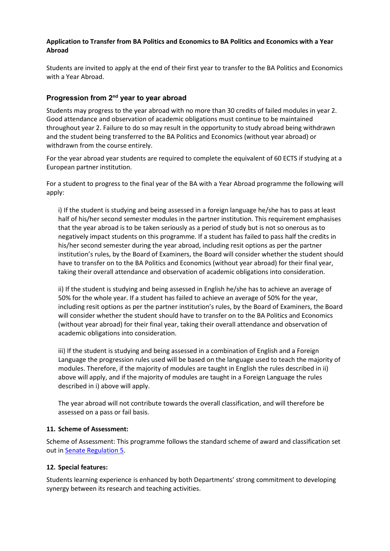## **Application to Transfer from BA Politics and Economics to BA Politics and Economics with a Year Abroad**

Students are invited to apply at the end of their first year to transfer to the BA Politics and Economics with a Year Abroad.

# **Progression from 2nd year to year abroad**

Students may progress to the year abroad with no more than 30 credits of failed modules in year 2. Good attendance and observation of academic obligations must continue to be maintained throughout year 2. Failure to do so may result in the opportunity to study abroad being withdrawn and the student being transferred to the BA Politics and Economics (without year abroad) or withdrawn from the course entirely.

For the year abroad year students are required to complete the equivalent of 60 ECTS if studying at a European partner institution.

For a student to progress to the final year of the BA with a Year Abroad programme the following will apply:

i) If the student is studying and being assessed in a foreign language he/she has to pass at least half of his/her second semester modules in the partner institution. This requirement emphasises that the year abroad is to be taken seriously as a period of study but is not so onerous as to negatively impact students on this programme. If a student has failed to pass half the credits in his/her second semester during the year abroad, including resit options as per the partner institution's rules, by the Board of Examiners, the Board will consider whether the student should have to transfer on to the BA Politics and Economics (without year abroad) for their final year, taking their overall attendance and observation of academic obligations into consideration.

ii) If the student is studying and being assessed in English he/she has to achieve an average of 50% for the whole year. If a student has failed to achieve an average of 50% for the year, including resit options as per the partner institution's rules, by the Board of Examiners, the Board will consider whether the student should have to transfer on to the BA Politics and Economics (without year abroad) for their final year, taking their overall attendance and observation of academic obligations into consideration.

iii) If the student is studying and being assessed in a combination of English and a Foreign Language the progression rules used will be based on the language used to teach the majority of modules. Therefore, if the majority of modules are taught in English the rules described in ii) above will apply, and if the majority of modules are taught in a Foreign Language the rules described in i) above will apply.

The year abroad will not contribute towards the overall classification, and will therefore be assessed on a pass or fail basis.

## **11. Scheme of Assessment:**

Scheme of Assessment: This programme follows the standard scheme of award and classification set out i[n Senate Regulation 5.](http://www2.le.ac.uk/offices/sas2/regulations/documents/senatereg5-undergraduates.pdf)

## **12. Special features:**

Students learning experience is enhanced by both Departments' strong commitment to developing synergy between its research and teaching activities.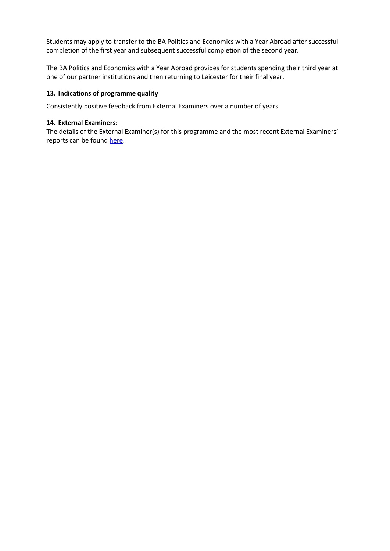Students may apply to transfer to the BA Politics and Economics with a Year Abroad after successful completion of the first year and subsequent successful completion of the second year.

The BA Politics and Economics with a Year Abroad provides for students spending their third year at one of our partner institutions and then returning to Leicester for their final year.

## **13. Indications of programme quality**

Consistently positive feedback from External Examiners over a number of years.

#### **14. External Examiners:**

The details of the External Examiner(s) for this programme and the most recent External Examiners' reports can be found [here.](https://exampapers.le.ac.uk/xmlui/handle/123456789/227)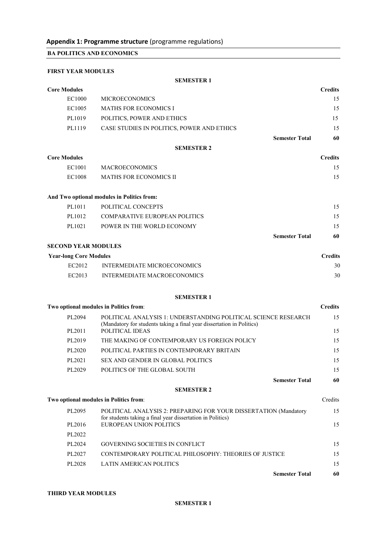**BA POLITICS AND ECONOMICS**

## **FIRST YEAR MODULES**

#### **SEMESTER 1**

| <b>Core Modules</b>           |                                                                                                                                                            | <b>Credits</b> |
|-------------------------------|------------------------------------------------------------------------------------------------------------------------------------------------------------|----------------|
| EC1000                        | <b>MICROECONOMICS</b>                                                                                                                                      | 15             |
| EC1005                        | <b>MATHS FOR ECONOMICS I</b>                                                                                                                               | 15             |
| PL1019                        | POLITICS, POWER AND ETHICS                                                                                                                                 | 15             |
| PL1119                        | CASE STUDIES IN POLITICS, POWER AND ETHICS                                                                                                                 | 15             |
|                               | <b>Semester Total</b>                                                                                                                                      | 60             |
|                               | <b>SEMESTER 2</b>                                                                                                                                          |                |
| <b>Core Modules</b>           |                                                                                                                                                            | <b>Credits</b> |
| EC1001                        | <b>MACROECONOMICS</b>                                                                                                                                      | 15             |
| EC1008                        | <b>MATHS FOR ECONOMICS II</b>                                                                                                                              | 15             |
|                               | And Two optional modules in Politics from:                                                                                                                 |                |
| PL1011                        | POLITICAL CONCEPTS                                                                                                                                         | 15             |
| PL1012                        | <b>COMPARATIVE EUROPEAN POLITICS</b>                                                                                                                       | 15             |
| PL1021                        | POWER IN THE WORLD ECONOMY                                                                                                                                 | 15             |
|                               | <b>Semester Total</b>                                                                                                                                      | 60             |
| <b>SECOND YEAR MODULES</b>    |                                                                                                                                                            |                |
| <b>Year-long Core Modules</b> |                                                                                                                                                            | <b>Credits</b> |
| EC2012                        | <b>INTERMEDIATE MICROECONOMICS</b>                                                                                                                         | 30             |
| EC2013                        | <b>INTERMEDIATE MACROECONOMICS</b>                                                                                                                         | 30             |
|                               | <b>SEMESTER 1</b>                                                                                                                                          |                |
|                               | Two optional modules in Politics from:                                                                                                                     | <b>Credits</b> |
| PL2094<br>PL2011              | POLITICAL ANALYSIS 1: UNDERSTANDING POLITICAL SCIENCE RESEARCH<br>(Mandatory for students taking a final year dissertation in Politics)<br>POLITICAL IDEAS | 15<br>15       |
| PL2019                        | THE MAKING OF CONTEMPORARY US FOREIGN POLICY                                                                                                               | 15             |
| PL2020                        | POLITICAL PARTIES IN CONTEMPORARY BRITAIN                                                                                                                  | 15             |
| PL2021                        | <b>SEX AND GENDER IN GLOBAL POLITICS</b>                                                                                                                   | 15             |
| PL2029                        | POLITICS OF THE GLOBAL SOUTH                                                                                                                               | 15             |
|                               | <b>Semester Total</b>                                                                                                                                      | 60             |
|                               | <b>SEMESTER 2</b>                                                                                                                                          |                |
|                               | Two optional modules in Politics from:                                                                                                                     | Credits        |
| PL2095                        | POLITICAL ANALYSIS 2: PREPARING FOR YOUR DISSERTATION (Mandatory<br>for students taking a final year dissertation in Politics)                             | 15             |
| PL2016                        | <b>EUROPEAN UNION POLITICS</b>                                                                                                                             | 15             |
| PL2022                        |                                                                                                                                                            |                |
| PL2024                        | <b>GOVERNING SOCIETIES IN CONFLICT</b>                                                                                                                     | 15             |
| PL2027                        | CONTEMPORARY POLITICAL PHILOSOPHY: THEORIES OF JUSTICE                                                                                                     | 15             |
| PL2028                        | <b>LATIN AMERICAN POLITICS</b>                                                                                                                             | 15             |
|                               | <b>Semester Total</b>                                                                                                                                      | 60             |

## **THIRD YEAR MODULES**

#### **SEMESTER 1**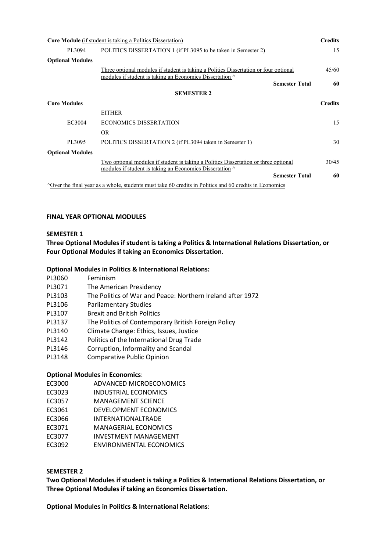| <b>Core Module</b> (if student is taking a Politics Dissertation) |                                                                                                                                                 | <b>Credits</b> |
|-------------------------------------------------------------------|-------------------------------------------------------------------------------------------------------------------------------------------------|----------------|
| PL3094                                                            | POLITICS DISSERTATION 1 (if PL3095 to be taken in Semester 2)                                                                                   | 15             |
| <b>Optional Modules</b>                                           |                                                                                                                                                 |                |
|                                                                   | Three optional modules if student is taking a Politics Dissertation or four optional                                                            | 45/60          |
|                                                                   | modules if student is taking an Economics Dissertation $\wedge$<br><b>Semester Total</b>                                                        | 60             |
|                                                                   |                                                                                                                                                 |                |
|                                                                   | <b>SEMESTER 2</b>                                                                                                                               |                |
| <b>Core Modules</b>                                               |                                                                                                                                                 | <b>Credits</b> |
|                                                                   | <b>EITHER</b>                                                                                                                                   |                |
| EC3004                                                            | <b>ECONOMICS DISSERTATION</b>                                                                                                                   | 15             |
|                                                                   | OR.                                                                                                                                             |                |
| PL3095                                                            | POLITICS DISSERTATION 2 (if PL3094 taken in Semester 1)                                                                                         | 30             |
| <b>Optional Modules</b>                                           |                                                                                                                                                 |                |
|                                                                   | Two optional modules if student is taking a Politics Dissertation or three optional<br>modules if student is taking an Economics Dissertation ^ | 30/45          |
|                                                                   | <b>Semester Total</b>                                                                                                                           | 60             |
|                                                                   | $\triangle$ Over the final year as a whole, students must take 60 credits in Politics and 60 credits in Economics                               |                |

## **FINAL YEAR OPTIONAL MODULES**

### **SEMESTER 1**

**Three Optional Modules if student is taking a Politics & International Relations Dissertation, or Four Optional Modules if taking an Economics Dissertation.**

## **Optional Modules in Politics & International Relations:**

- PL3060 Feminism
- PL3071 The American Presidency
- PL3103 The Politics of War and Peace: Northern Ireland after 1972
- PL3106 Parliamentary Studies
- PL3107 Brexit and British Politics
- PL3137 The Politics of Contemporary British Foreign Policy
- PL3140 Climate Change: Ethics, Issues, Justice
- PL3142 Politics of the International Drug Trade
- PL3146 Corruption, Informality and Scandal
- PL3148 Comparative Public Opinion

# **Optional Modules in Economics**:

- EC3000 ADVANCED MICROECONOMICS
- EC3023 INDUSTRIAL ECONOMICS
- EC3057 MANAGEMENT SCIENCE
- EC3061 DEVELOPMENT ECONOMICS
- EC3066 INTERNATIONALTRADE
- EC3071 MANAGERIAL ECONOMICS
- EC3077 INVESTMENT MANAGEMENT
- EC3092 ENVIRONMENTAL ECONOMICS

## **SEMESTER 2**

**Two Optional Modules if student is taking a Politics & International Relations Dissertation, or Three Optional Modules if taking an Economics Dissertation.**

**Optional Modules in Politics & International Relations**: